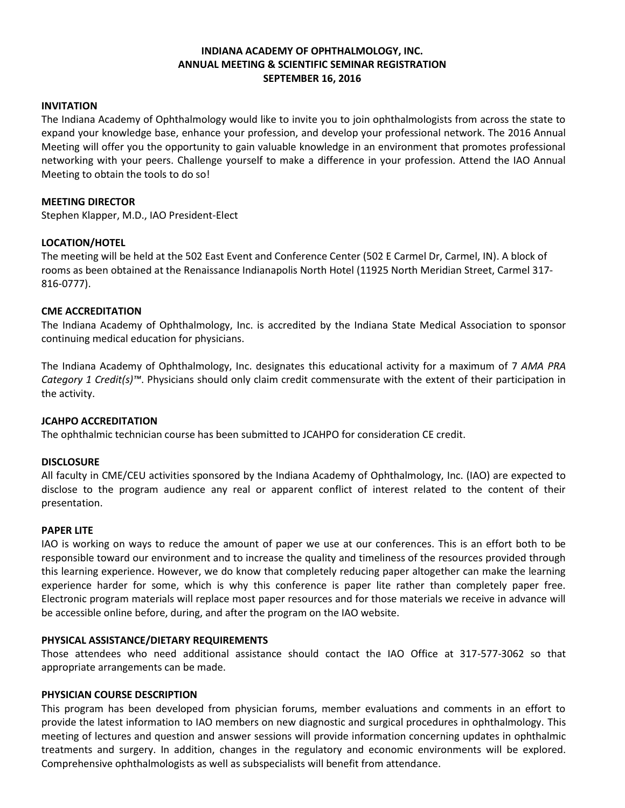# **INDIANA ACADEMY OF OPHTHALMOLOGY, INC. ANNUAL MEETING & SCIENTIFIC SEMINAR REGISTRATION SEPTEMBER 16, 2016**

#### **INVITATION**

The Indiana Academy of Ophthalmology would like to invite you to join ophthalmologists from across the state to expand your knowledge base, enhance your profession, and develop your professional network. The 2016 Annual Meeting will offer you the opportunity to gain valuable knowledge in an environment that promotes professional networking with your peers. Challenge yourself to make a difference in your profession. Attend the IAO Annual Meeting to obtain the tools to do so!

### **MEETING DIRECTOR**

Stephen Klapper, M.D., IAO President-Elect

### **LOCATION/HOTEL**

The meeting will be held at the 502 East Event and Conference Center (502 E Carmel Dr, Carmel, IN). A block of rooms as been obtained at the Renaissance Indianapolis North Hotel (11925 North Meridian Street, Carmel 317- 816-0777).

### **CME ACCREDITATION**

The Indiana Academy of Ophthalmology, Inc. is accredited by the Indiana State Medical Association to sponsor continuing medical education for physicians.

The Indiana Academy of Ophthalmology, Inc. designates this educational activity for a maximum of 7 *AMA PRA Category 1 Credit(s)™*. Physicians should only claim credit commensurate with the extent of their participation in the activity.

### **JCAHPO ACCREDITATION**

The ophthalmic technician course has been submitted to JCAHPO for consideration CE credit.

#### **DISCLOSURE**

All faculty in CME/CEU activities sponsored by the Indiana Academy of Ophthalmology, Inc. (IAO) are expected to disclose to the program audience any real or apparent conflict of interest related to the content of their presentation.

#### **PAPER LITE**

IAO is working on ways to reduce the amount of paper we use at our conferences. This is an effort both to be responsible toward our environment and to increase the quality and timeliness of the resources provided through this learning experience. However, we do know that completely reducing paper altogether can make the learning experience harder for some, which is why this conference is paper lite rather than completely paper free. Electronic program materials will replace most paper resources and for those materials we receive in advance will be accessible online before, during, and after the program on the IAO website.

#### **PHYSICAL ASSISTANCE/DIETARY REQUIREMENTS**

Those attendees who need additional assistance should contact the IAO Office at 317-577-3062 so that appropriate arrangements can be made.

#### **PHYSICIAN COURSE DESCRIPTION**

This program has been developed from physician forums, member evaluations and comments in an effort to provide the latest information to IAO members on new diagnostic and surgical procedures in ophthalmology. This meeting of lectures and question and answer sessions will provide information concerning updates in ophthalmic treatments and surgery. In addition, changes in the regulatory and economic environments will be explored. Comprehensive ophthalmologists as well as subspecialists will benefit from attendance.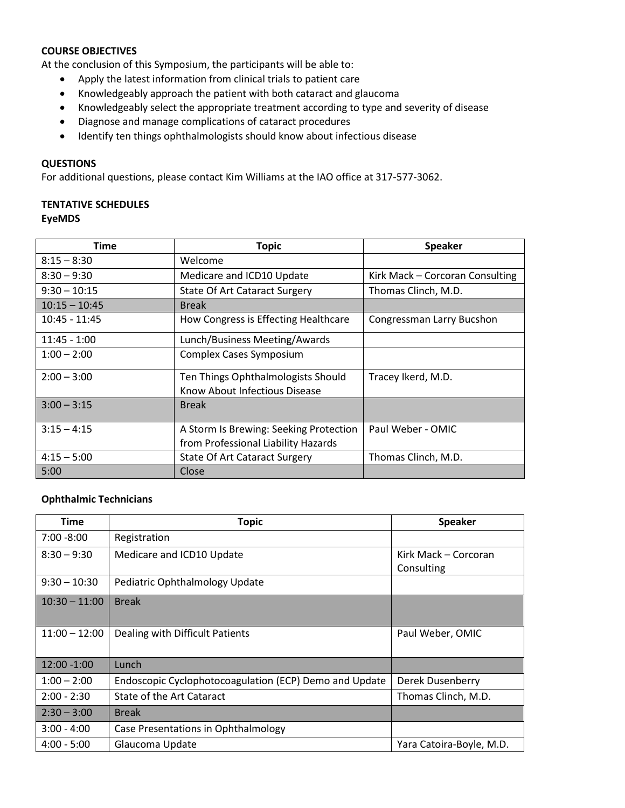# **COURSE OBJECTIVES**

At the conclusion of this Symposium, the participants will be able to:

- Apply the latest information from clinical trials to patient care
- Knowledgeably approach the patient with both cataract and glaucoma
- Knowledgeably select the appropriate treatment according to type and severity of disease
- Diagnose and manage complications of cataract procedures
- Identify ten things ophthalmologists should know about infectious disease

# **QUESTIONS**

For additional questions, please contact Kim Williams at the IAO office at 317-577-3062.

# **TENTATIVE SCHEDULES EyeMDS**

| Time            | <b>Topic</b>                                                        | <b>Speaker</b>                  |  |
|-----------------|---------------------------------------------------------------------|---------------------------------|--|
| $8:15 - 8:30$   | Welcome                                                             |                                 |  |
| $8:30 - 9:30$   | Medicare and ICD10 Update                                           | Kirk Mack - Corcoran Consulting |  |
| $9:30 - 10:15$  | <b>State Of Art Cataract Surgery</b>                                | Thomas Clinch, M.D.             |  |
| $10:15 - 10:45$ | <b>Break</b>                                                        |                                 |  |
| $10:45 - 11:45$ | How Congress is Effecting Healthcare                                | Congressman Larry Bucshon       |  |
| $11:45 - 1:00$  | Lunch/Business Meeting/Awards                                       |                                 |  |
| $1:00 - 2:00$   | <b>Complex Cases Symposium</b>                                      |                                 |  |
| $2:00 - 3:00$   | Ten Things Ophthalmologists Should<br>Know About Infectious Disease | Tracey Ikerd, M.D.              |  |
| $3:00 - 3:15$   | <b>Break</b>                                                        |                                 |  |
| $3:15 - 4:15$   | A Storm Is Brewing: Seeking Protection                              | Paul Weber - OMIC               |  |
|                 | from Professional Liability Hazards                                 |                                 |  |
| $4:15 - 5:00$   | <b>State Of Art Cataract Surgery</b>                                | Thomas Clinch, M.D.             |  |
| 5:00            | Close                                                               |                                 |  |

### **Ophthalmic Technicians**

| <b>Time</b>     | <b>Topic</b>                                           | Speaker                  |  |
|-----------------|--------------------------------------------------------|--------------------------|--|
| $7:00 - 8:00$   | Registration                                           |                          |  |
| $8:30 - 9:30$   | Medicare and ICD10 Update                              | Kirk Mack – Corcoran     |  |
|                 |                                                        | Consulting               |  |
| $9:30 - 10:30$  | Pediatric Ophthalmology Update                         |                          |  |
| $10:30 - 11:00$ | <b>Break</b>                                           |                          |  |
|                 |                                                        |                          |  |
| $11:00 - 12:00$ | Dealing with Difficult Patients                        | Paul Weber, OMIC         |  |
|                 |                                                        |                          |  |
| $12:00 - 1:00$  | Lunch                                                  |                          |  |
| $1:00 - 2:00$   | Endoscopic Cyclophotocoagulation (ECP) Demo and Update | <b>Derek Dusenberry</b>  |  |
| $2:00 - 2:30$   | State of the Art Cataract                              | Thomas Clinch, M.D.      |  |
| $2:30 - 3:00$   | <b>Break</b>                                           |                          |  |
| $3:00 - 4:00$   | Case Presentations in Ophthalmology                    |                          |  |
| $4:00 - 5:00$   | Glaucoma Update                                        | Yara Catoira-Boyle, M.D. |  |